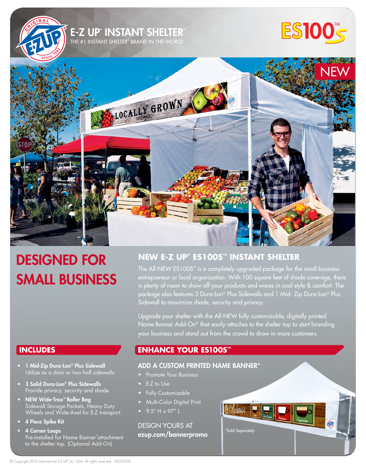

# DESIGNED FOR SMALL BUSINESS

# **NEW E-Z UP® ES100S™ INSTANT SHELTER**

The All-NEW ES100S**™** is a completely upgraded package for the small business entrepreneur or local organization. With 100 square feet of shade coverage, there is plenty of room to show off your products and wares in cool style & comfort. The package also features 3 Dura-Lon® Plus Sidewalls and 1 Mid- Zip Dura-Lon® Plus Sidewall to maximize shade, security and privacy.

Upgrade your shelter with the All-NEW fully customizable, digitally printed Name Banner Add-On\* that easily attaches to the shelter top to start branding your business and stand out from the crowd to draw in more customers.

# **ENHANCE YOUR ES100S™**

### ADD A CUSTOM PRINTED NAME BANNER\*

- Promote Your Business
- E-Z to Use
- Fully Customizable
- Multi-Color Digital Print
- 9.5" H x 97" L

DESIGN YOURS AT ezup.com/bannerpromo



# **INCLUDES**

- 1 Mid-Zip Dura-Lon® Plus Sidewall Utilize as a door or two half sidewalls.
- 3 Solid Dura-Lon® Plus Sidewalls Provide privacy, security and shade.
- NEW Wide-Trax™ Roller Bag Sidewall Storage Pockets, Heavy Duty Wheels and Wide-Axel for E-Z transport.
- 4 Piece Spike Kit
- 4 Corner Loops Pre-installed for Name Banner\*attachment to the shelter top. (Optional Add-On)